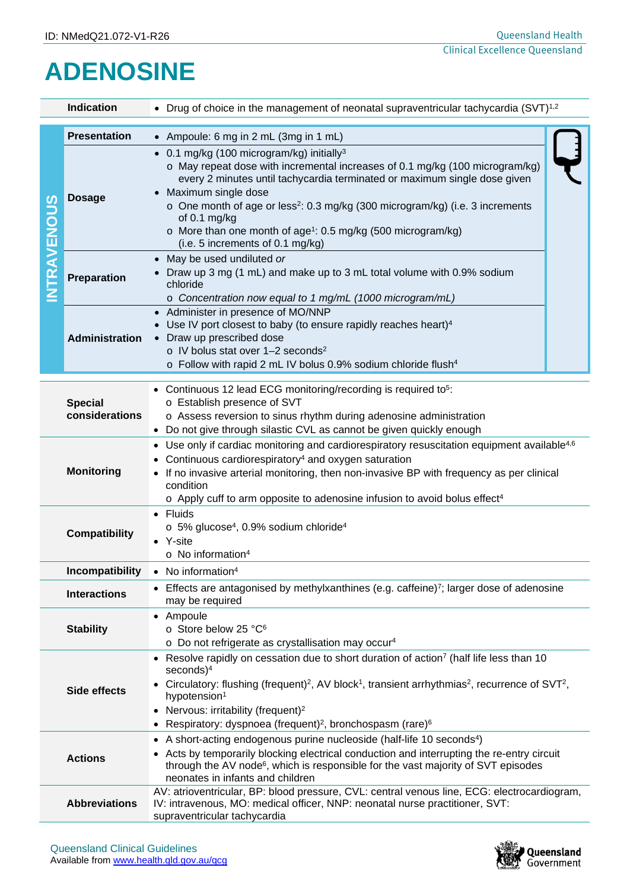## **ADENOSINE**

| Indication          |                                  | • Drug of choice in the management of neonatal supraventricular tachycardia $(SVT)^{1,2}$                                                                                                                                                                                                                                                                                                                                                                                |  |  |  |  |
|---------------------|----------------------------------|--------------------------------------------------------------------------------------------------------------------------------------------------------------------------------------------------------------------------------------------------------------------------------------------------------------------------------------------------------------------------------------------------------------------------------------------------------------------------|--|--|--|--|
| NTRAVENOUS          | <b>Presentation</b>              | • Ampoule: 6 mg in 2 mL (3mg in 1 mL)                                                                                                                                                                                                                                                                                                                                                                                                                                    |  |  |  |  |
|                     | <b>Dosage</b>                    | • 0.1 mg/kg (100 microgram/kg) initially <sup>3</sup><br>o May repeat dose with incremental increases of 0.1 mg/kg (100 microgram/kg)<br>every 2 minutes until tachycardia terminated or maximum single dose given<br>• Maximum single dose<br>o One month of age or less <sup>2</sup> : 0.3 mg/kg (300 microgram/kg) (i.e. 3 increments<br>of 0.1 mg/kg<br>o More than one month of age <sup>1</sup> : 0.5 mg/kg (500 microgram/kg)<br>(i.e. 5 increments of 0.1 mg/kg) |  |  |  |  |
|                     | <b>Preparation</b>               | • May be used undiluted or<br>Draw up 3 mg (1 mL) and make up to 3 mL total volume with 0.9% sodium<br>chloride<br>o Concentration now equal to 1 mg/mL (1000 microgram/mL)                                                                                                                                                                                                                                                                                              |  |  |  |  |
|                     | <b>Administration</b>            | • Administer in presence of MO/NNP<br>• Use IV port closest to baby (to ensure rapidly reaches heart) <sup>4</sup><br>• Draw up prescribed dose<br>o IV bolus stat over 1-2 seconds <sup>2</sup><br>o Follow with rapid 2 mL IV bolus 0.9% sodium chloride flush <sup>4</sup>                                                                                                                                                                                            |  |  |  |  |
|                     | <b>Special</b><br>considerations | • Continuous 12 lead ECG monitoring/recording is required to <sup>5</sup> :<br>o Establish presence of SVT<br>o Assess reversion to sinus rhythm during adenosine administration<br>• Do not give through silastic CVL as cannot be given quickly enough                                                                                                                                                                                                                 |  |  |  |  |
|                     | <b>Monitoring</b>                | • Use only if cardiac monitoring and cardiorespiratory resuscitation equipment available <sup>4,6</sup><br>Continuous cardiorespiratory <sup>4</sup> and oxygen saturation<br>If no invasive arterial monitoring, then non-invasive BP with frequency as per clinical<br>condition<br>o Apply cuff to arm opposite to adenosine infusion to avoid bolus effect <sup>4</sup>                                                                                              |  |  |  |  |
|                     | <b>Compatibility</b>             | • Fluids<br>o 5% glucose <sup>4</sup> , 0.9% sodium chloride <sup>4</sup><br>• Y-site<br>$\circ$ No information <sup>4</sup>                                                                                                                                                                                                                                                                                                                                             |  |  |  |  |
| Incompatibility     |                                  | • No information <sup>4</sup>                                                                                                                                                                                                                                                                                                                                                                                                                                            |  |  |  |  |
| <b>Interactions</b> |                                  | Effects are antagonised by methylxanthines (e.g. caffeine) $\frac{7}{7}$ ; larger dose of adenosine<br>may be required                                                                                                                                                                                                                                                                                                                                                   |  |  |  |  |
| <b>Stability</b>    |                                  | • Ampoule<br>o Store below 25 °C <sup>6</sup><br>o Do not refrigerate as crystallisation may occur <sup>4</sup>                                                                                                                                                                                                                                                                                                                                                          |  |  |  |  |
| Side effects        |                                  | • Resolve rapidly on cessation due to short duration of action <sup>7</sup> (half life less than 10<br>$seconds)^4$<br>• Circulatory: flushing (frequent) <sup>2</sup> , AV block <sup>1</sup> , transient arrhythmias <sup>2</sup> , recurrence of SVT <sup>2</sup> ,<br>hypotension <sup>1</sup><br>• Nervous: irritability (frequent) <sup>2</sup><br>• Respiratory: dyspnoea (frequent) <sup>2</sup> , bronchospasm (rare) <sup>6</sup>                              |  |  |  |  |
|                     | <b>Actions</b>                   | • A short-acting endogenous purine nucleoside (half-life 10 seconds <sup>4</sup> )<br>• Acts by temporarily blocking electrical conduction and interrupting the re-entry circuit<br>through the AV node <sup>6</sup> , which is responsible for the vast majority of SVT episodes<br>neonates in infants and children                                                                                                                                                    |  |  |  |  |
|                     | <b>Abbreviations</b>             | AV: atrioventricular, BP: blood pressure, CVL: central venous line, ECG: electrocardiogram,<br>IV: intravenous, MO: medical officer, NNP: neonatal nurse practitioner, SVT:<br>supraventricular tachycardia                                                                                                                                                                                                                                                              |  |  |  |  |